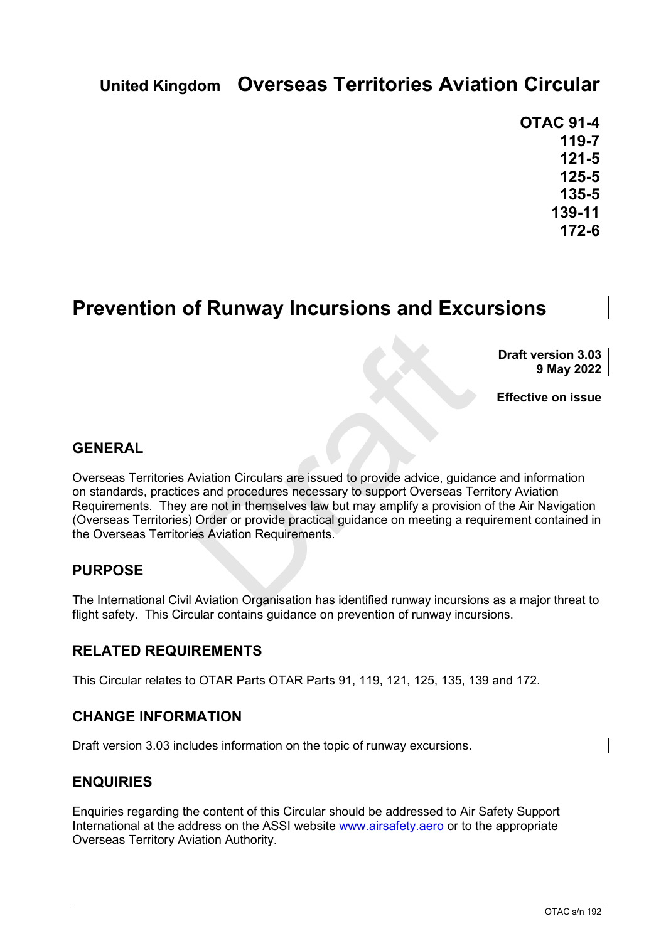# **United Kingdom Overseas Territories Aviation Circular**

**OTAC 91-4 119-7 121-5 125-5 135-5 139-11 172-6**

## **Prevention of Runway Incursions and Excursions**

**Draft version 3.03 9 May 2022**

**Effective on issue**

#### **GENERAL**

Aviation Circulars are issued to provide advice, guida<br>
sand procedures necessary to support Overseas Te<br>
are not in themselves law but may amplify a provision<br>
Order or provide practical guidance on meeting a re<br>
es Aviat Overseas Territories Aviation Circulars are issued to provide advice, guidance and information on standards, practices and procedures necessary to support Overseas Territory Aviation Requirements. They are not in themselves law but may amplify a provision of the Air Navigation (Overseas Territories) Order or provide practical guidance on meeting a requirement contained in the Overseas Territories Aviation Requirements.

### **PURPOSE**

The International Civil Aviation Organisation has identified runway incursions as a major threat to flight safety. This Circular contains guidance on prevention of runway incursions.

#### **RELATED REQUIREMENTS**

This Circular relates to OTAR Parts OTAR Parts 91, 119, 121, 125, 135, 139 and 172.

#### **CHANGE INFORMATION**

Draft version 3.03 includes information on the topic of runway excursions.

### **ENQUIRIES**

Enquiries regarding the content of this Circular should be addressed to Air Safety Support International at the address on the ASSI website [www.airsafety.aero](http://www.airsafety.aero/) or to the appropriate Overseas Territory Aviation Authority.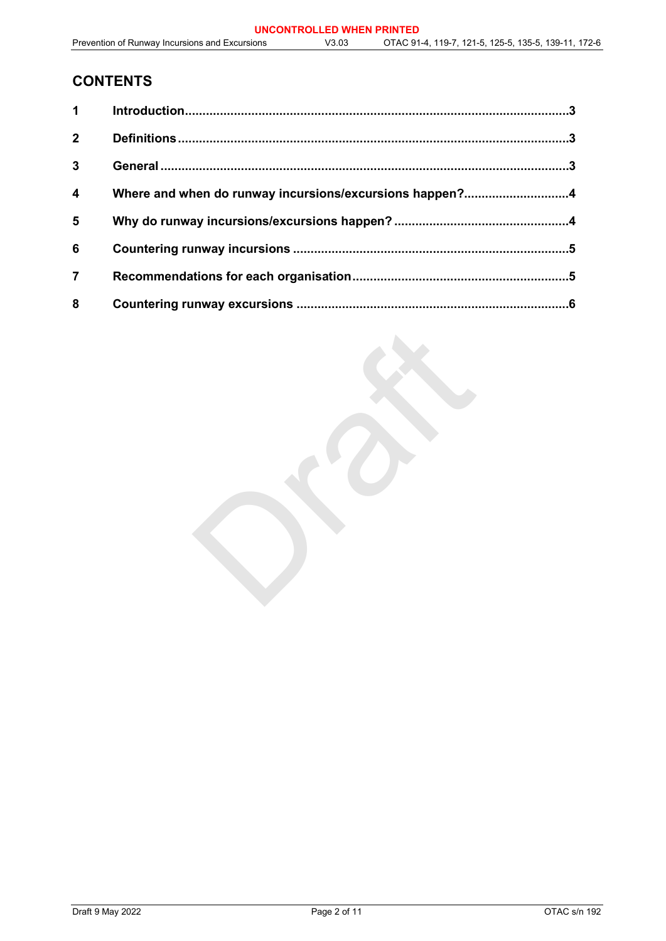## **CONTENTS**

| 1                       |                                                         |  |
|-------------------------|---------------------------------------------------------|--|
| $\mathbf{2}$            |                                                         |  |
| $\mathbf{3}$            |                                                         |  |
| $\overline{\mathbf{4}}$ | Where and when do runway incursions/excursions happen?4 |  |
| 5                       |                                                         |  |
| 6                       |                                                         |  |
| $\overline{7}$          |                                                         |  |
| 8                       |                                                         |  |

Orange R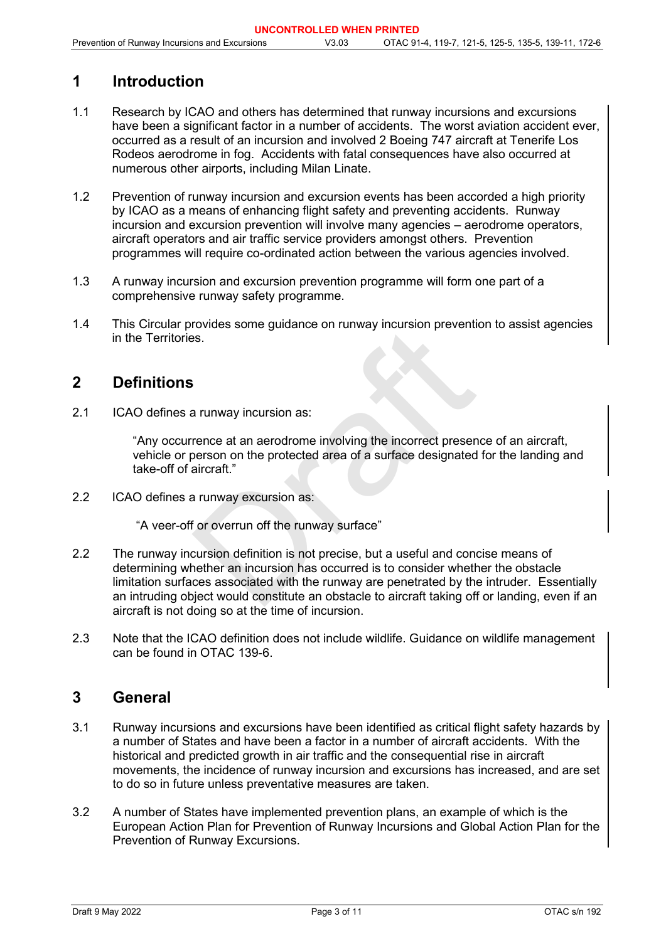## <span id="page-2-0"></span>**1 Introduction**

- 1.1 Research by ICAO and others has determined that runway incursions and excursions have been a significant factor in a number of accidents. The worst aviation accident ever, occurred as a result of an incursion and involved 2 Boeing 747 aircraft at Tenerife Los Rodeos aerodrome in fog. Accidents with fatal consequences have also occurred at numerous other airports, including Milan Linate.
- 1.2 Prevention of runway incursion and excursion events has been accorded a high priority by ICAO as a means of enhancing flight safety and preventing accidents. Runway incursion and excursion prevention will involve many agencies – aerodrome operators, aircraft operators and air traffic service providers amongst others. Prevention programmes will require co-ordinated action between the various agencies involved.
- 1.3 A runway incursion and excursion prevention programme will form one part of a comprehensive runway safety programme.
- 1.4 This Circular provides some guidance on runway incursion prevention to assist agencies in the Territories.

## <span id="page-2-1"></span>**2 Definitions**

2.1 ICAO defines a runway incursion as:

"Any occurrence at an aerodrome involving the incorrect presence of an aircraft, vehicle or person on the protected area of a surface designated for the landing and take-off of aircraft."

2.2 ICAO defines a runway excursion as:

"A veer-off or overrun off the runway surface"

- Some guidance of runway incursion prevents<br>Some guidance of runway incursion prevents<br>Some area and a are allowing the incorrect preser<br>person on the protected area of a surface designated<br>aircraft."<br>a runway excursion as: 2.2 The runway incursion definition is not precise, but a useful and concise means of determining whether an incursion has occurred is to consider whether the obstacle limitation surfaces associated with the runway are penetrated by the intruder. Essentially an intruding object would constitute an obstacle to aircraft taking off or landing, even if an aircraft is not doing so at the time of incursion.
- 2.3 Note that the ICAO definition does not include wildlife. Guidance on wildlife management can be found in OTAC 139-6.

### <span id="page-2-2"></span>**3 General**

- 3.1 Runway incursions and excursions have been identified as critical flight safety hazards by a number of States and have been a factor in a number of aircraft accidents. With the historical and predicted growth in air traffic and the consequential rise in aircraft movements, the incidence of runway incursion and excursions has increased, and are set to do so in future unless preventative measures are taken.
- 3.2 A number of States have implemented prevention plans, an example of which is the European Action Plan for Prevention of Runway Incursions and Global Action Plan for the Prevention of Runway Excursions.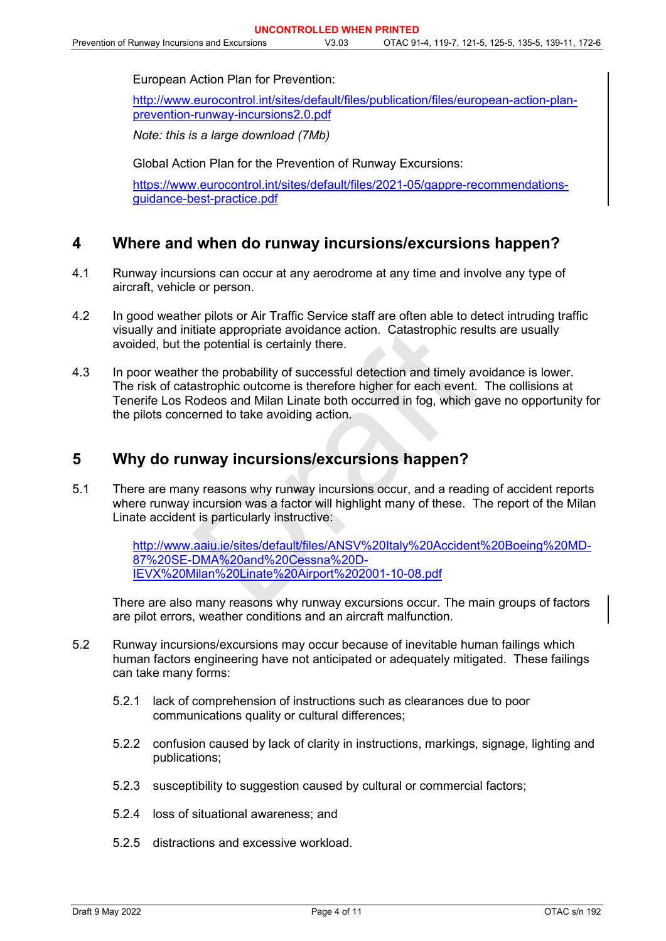European Action Plan for Prevention:

[http://www.eurocontrol.int/sites/default/files/publication/files/european-action-plan](http://www.eurocontrol.int/sites/default/files/publication/files/european-action-plan-prevention-runway-incursions2.0.pdf)[prevention-runway-incursions2.0.pdf](http://www.eurocontrol.int/sites/default/files/publication/files/european-action-plan-prevention-runway-incursions2.0.pdf)

*Note: this is a large download (7Mb)*

Global Action Plan for the Prevention of Runway Excursions:

[https://www.eurocontrol.int/sites/default/files/2021-05/gappre-recommendations](https://www.eurocontrol.int/sites/default/files/2021-05/gappre-recommendations-guidance-best-practice.pdf)[guidance-best-practice.pdf](https://www.eurocontrol.int/sites/default/files/2021-05/gappre-recommendations-guidance-best-practice.pdf) 

#### <span id="page-3-0"></span>**4 Where and when do runway incursions/excursions happen?**

- 4.1 Runway incursions can occur at any aerodrome at any time and involve any type of aircraft, vehicle or person.
- 4.2 In good weather pilots or Air Traffic Service staff are often able to detect intruding traffic visually and initiate appropriate avoidance action. Catastrophic results are usually avoided, but the potential is certainly there.
- tiate appropriate avoidance action. Catastrophic res<br>e potential is certainly there.<br>Presence the probability of successful detection and timely and<br>astrophic outcome is therefore higher for each event.<br>Iodeos and Milan Li 4.3 In poor weather the probability of successful detection and timely avoidance is lower. The risk of catastrophic outcome is therefore higher for each event. The collisions at Tenerife Los Rodeos and Milan Linate both occurred in fog, which gave no opportunity for the pilots concerned to take avoiding action.

### <span id="page-3-1"></span>**5 Why do runway incursions/excursions happen?**

5.1 There are many reasons why runway incursions occur, and a reading of accident reports where runway incursion was a factor will highlight many of these. The report of the Milan Linate accident is particularly instructive:

> [http://www.aaiu.ie/sites/default/files/ANSV%20Italy%20Accident%20Boeing%20MD-](http://www.aaiu.ie/sites/default/files/ANSV%20Italy%20Accident%20Boeing%20MD-87%20SE-DMA%20and%20Cessna%20D-IEVX%20Milan%20Linate%20Airport%202001-10-08.pdf)87%20SE-DMA%20and%20Cessna%20D-[IEVX%20Milan%20Linate%20Airport%202001-10-08.pdf](http://www.aaiu.ie/sites/default/files/ANSV%20Italy%20Accident%20Boeing%20MD-87%20SE-DMA%20and%20Cessna%20D-IEVX%20Milan%20Linate%20Airport%202001-10-08.pdf)

There are also many reasons why runway excursions occur. The main groups of factors are pilot errors, weather conditions and an aircraft malfunction.

- 5.2 Runway incursions/excursions may occur because of inevitable human failings which human factors engineering have not anticipated or adequately mitigated. These failings can take many forms:
	- 5.2.1 lack of comprehension of instructions such as clearances due to poor communications quality or cultural differences;
	- 5.2.2 confusion caused by lack of clarity in instructions, markings, signage, lighting and publications;
	- 5.2.3 susceptibility to suggestion caused by cultural or commercial factors;
	- 5.2.4 loss of situational awareness; and
	- 5.2.5 distractions and excessive workload.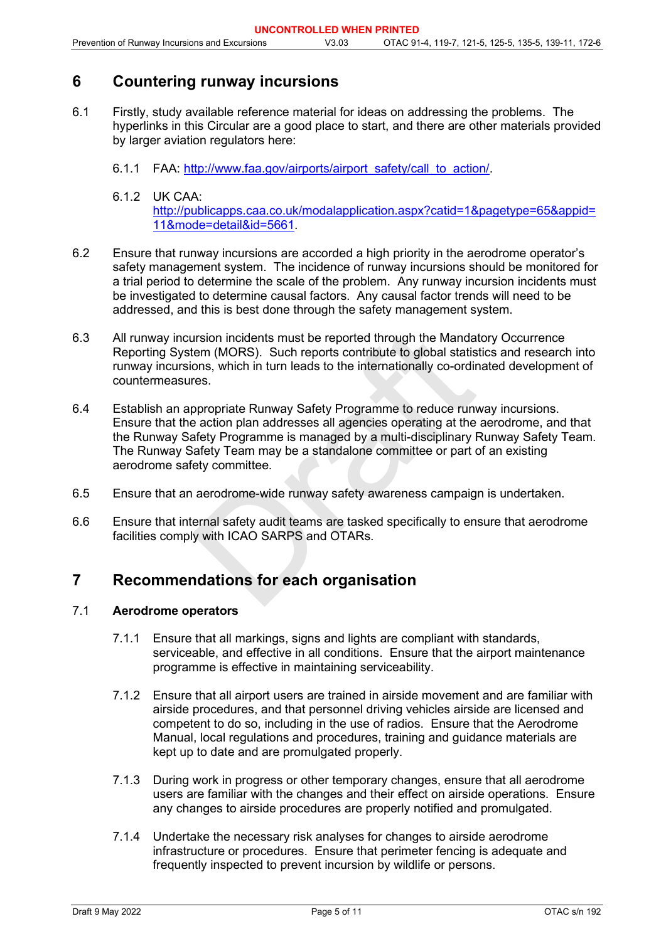## <span id="page-4-0"></span>**6 Countering runway incursions**

- 6.1 Firstly, study available reference material for ideas on addressing the problems. The hyperlinks in this Circular are a good place to start, and there are other materials provided by larger aviation regulators here:
	- 6.1.1 FAA: [http://www.faa.gov/airports/airport\\_safety/call\\_to\\_action/.](file://assicaafs01/revisedstructure/Policy%20and%20Rulemaking/OTACs/Current/www.faa.gov/airports/airport_safety/call_to_action/)
	- 6.1.2 UK CAA: [http://publicapps.caa.co.uk/modalapplication.aspx?catid=1&pagetype=65&appid=](http://publicapps.caa.co.uk/modalapplication.aspx?catid=1&pagetype=65&appid=11&mode=detail&id=5661) [11&mode=detail&id=5661.](http://publicapps.caa.co.uk/modalapplication.aspx?catid=1&pagetype=65&appid=11&mode=detail&id=5661)
- 6.2 Ensure that runway incursions are accorded a high priority in the aerodrome operator's safety management system. The incidence of runway incursions should be monitored for a trial period to determine the scale of the problem. Any runway incursion incidents must be investigated to determine causal factors. Any causal factor trends will need to be addressed, and this is best done through the safety management system.
- 6.3 All runway incursion incidents must be reported through the Mandatory Occurrence Reporting System (MORS). Such reports contribute to global statistics and research into runway incursions, which in turn leads to the internationally co-ordinated development of countermeasures.
- arsion incidents must be reported through the Manda<br>tem (MORS). Such reports contribute to global statis<br>ons, which in turn leads to the internationally co-ordin<br>res.<br>ppropriate Runway Safety Programme to reduce run<br>e acti 6.4 Establish an appropriate Runway Safety Programme to reduce runway incursions. Ensure that the action plan addresses all agencies operating at the aerodrome, and that the Runway Safety Programme is managed by a multi-disciplinary Runway Safety Team. The Runway Safety Team may be a standalone committee or part of an existing aerodrome safety committee.
- 6.5 Ensure that an aerodrome-wide runway safety awareness campaign is undertaken.
- 6.6 Ensure that internal safety audit teams are tasked specifically to ensure that aerodrome facilities comply with ICAO SARPS and OTARs.

### <span id="page-4-1"></span>**7 Recommendations for each organisation**

#### 7.1 **Aerodrome operators**

- 7.1.1 Ensure that all markings, signs and lights are compliant with standards, serviceable, and effective in all conditions. Ensure that the airport maintenance programme is effective in maintaining serviceability.
- 7.1.2 Ensure that all airport users are trained in airside movement and are familiar with airside procedures, and that personnel driving vehicles airside are licensed and competent to do so, including in the use of radios. Ensure that the Aerodrome Manual, local regulations and procedures, training and guidance materials are kept up to date and are promulgated properly.
- 7.1.3 During work in progress or other temporary changes, ensure that all aerodrome users are familiar with the changes and their effect on airside operations. Ensure any changes to airside procedures are properly notified and promulgated.
- 7.1.4 Undertake the necessary risk analyses for changes to airside aerodrome infrastructure or procedures. Ensure that perimeter fencing is adequate and frequently inspected to prevent incursion by wildlife or persons.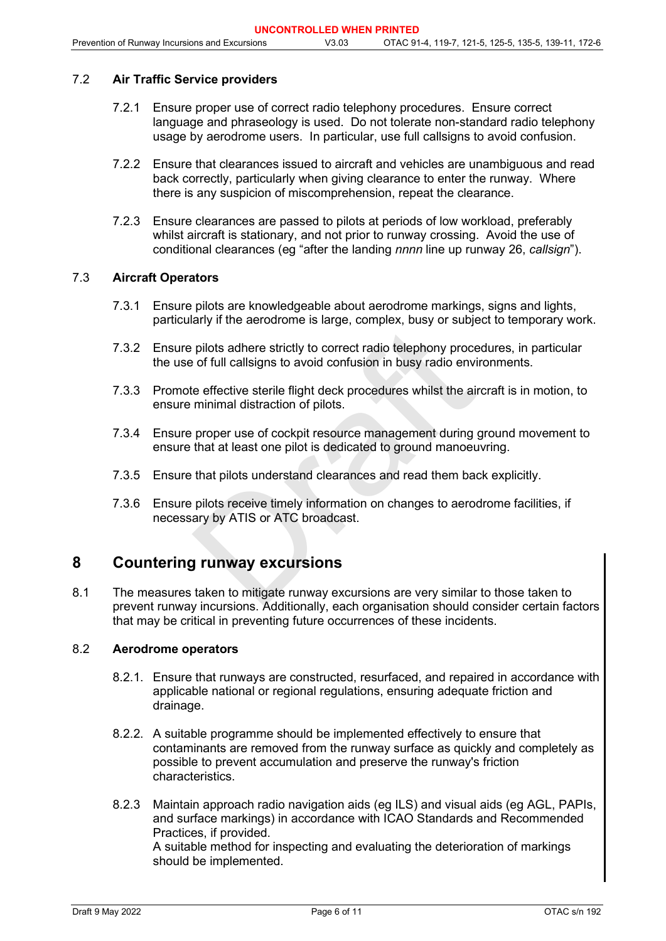#### 7.2 **Air Traffic Service providers**

- 7.2.1 Ensure proper use of correct radio telephony procedures. Ensure correct language and phraseology is used. Do not tolerate non-standard radio telephony usage by aerodrome users. In particular, use full callsigns to avoid confusion.
- 7.2.2 Ensure that clearances issued to aircraft and vehicles are unambiguous and read back correctly, particularly when giving clearance to enter the runway. Where there is any suspicion of miscomprehension, repeat the clearance.
- 7.2.3 Ensure clearances are passed to pilots at periods of low workload, preferably whilst aircraft is stationary, and not prior to runway crossing. Avoid the use of conditional clearances (eg "after the landing *nnnn* line up runway 26, *callsign*").

#### 7.3 **Aircraft Operators**

- 7.3.1 Ensure pilots are knowledgeable about aerodrome markings, signs and lights, particularly if the aerodrome is large, complex, busy or subject to temporary work.
- 7.3.2 Ensure pilots adhere strictly to correct radio telephony procedures, in particular the use of full callsigns to avoid confusion in busy radio environments.
- 7.3.3 Promote effective sterile flight deck procedures whilst the aircraft is in motion, to ensure minimal distraction of pilots.
- may a transmision analysty strategy of strategy<br>pilots adhere strictly to correct radio telephony proce<br>of full callsigns to avoid confusion in busy radio envi<br>e effective sterile flight deck procedures whilst the ai<br>minim 7.3.4 Ensure proper use of cockpit resource management during ground movement to ensure that at least one pilot is dedicated to ground manoeuvring.
- 7.3.5 Ensure that pilots understand clearances and read them back explicitly.
- 7.3.6 Ensure pilots receive timely information on changes to aerodrome facilities, if necessary by ATIS or ATC broadcast.

### <span id="page-5-0"></span>**8 Countering runway excursions**

8.1 The measures taken to mitigate runway excursions are very similar to those taken to prevent runway incursions. Additionally, each organisation should consider certain factors that may be critical in preventing future occurrences of these incidents.

#### 8.2 **Aerodrome operators**

- 8.2.1. Ensure that runways are constructed, resurfaced, and repaired in accordance with applicable national or regional regulations, ensuring adequate friction and drainage.
- 8.2.2. A suitable programme should be implemented effectively to ensure that contaminants are removed from the runway surface as quickly and completely as possible to prevent accumulation and preserve the runway's friction characteristics.
- 8.2.3 Maintain approach radio navigation aids (eg ILS) and visual aids (eg AGL, PAPIs, and surface markings) in accordance with ICAO Standards and Recommended Practices, if provided. A suitable method for inspecting and evaluating the deterioration of markings

should be implemented.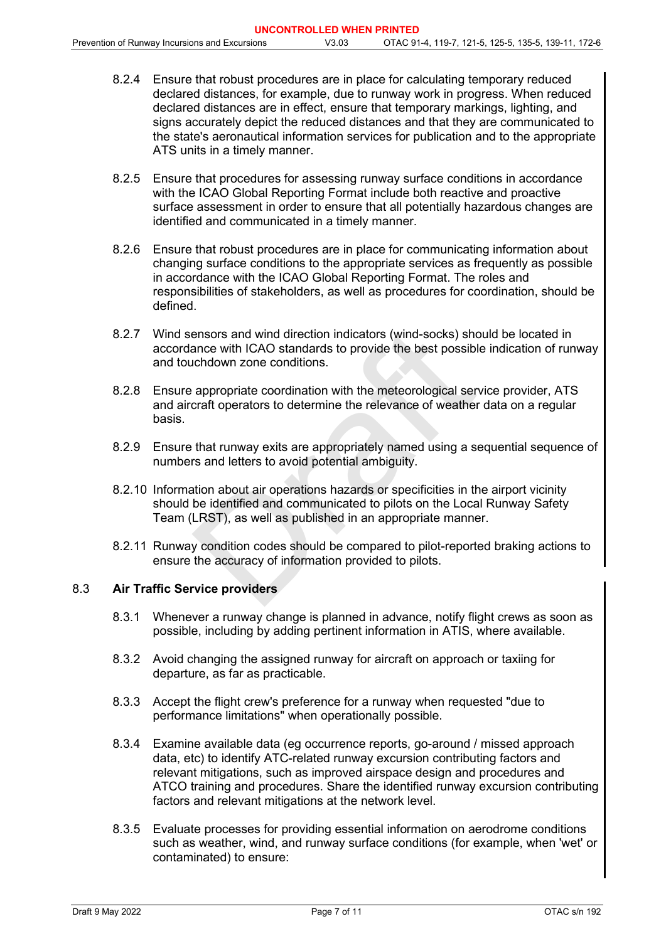- 8.2.4 Ensure that robust procedures are in place for calculating temporary reduced declared distances, for example, due to runway work in progress. When reduced declared distances are in effect, ensure that temporary markings, lighting, and signs accurately depict the reduced distances and that they are communicated to the state's aeronautical information services for publication and to the appropriate ATS units in a timely manner.
- 8.2.5 Ensure that procedures for assessing runway surface conditions in accordance with the ICAO Global Reporting Format include both reactive and proactive surface assessment in order to ensure that all potentially hazardous changes are identified and communicated in a timely manner.
- 8.2.6 Ensure that robust procedures are in place for communicating information about changing surface conditions to the appropriate services as frequently as possible in accordance with the ICAO Global Reporting Format. The roles and responsibilities of stakeholders, as well as procedures for coordination, should be defined.
- 8.2.7 Wind sensors and wind direction indicators (wind-socks) should be located in accordance with ICAO standards to provide the best possible indication of runway and touchdown zone conditions.
- ensors and wind direction indicators (wind-socks) shance with ICAO standards to provide the best possible inchdown zone conditions.<br>appropriate coordination with the meteorological servative craft operators to determine th 8.2.8 Ensure appropriate coordination with the meteorological service provider, ATS and aircraft operators to determine the relevance of weather data on a regular basis.
- 8.2.9 Ensure that runway exits are appropriately named using a sequential sequence of numbers and letters to avoid potential ambiguity.
- 8.2.10 Information about air operations hazards or specificities in the airport vicinity should be identified and communicated to pilots on the Local Runway Safety Team (LRST), as well as published in an appropriate manner.
- 8.2.11 Runway condition codes should be compared to pilot-reported braking actions to ensure the accuracy of information provided to pilots.

#### 8.3 **Air Traffic Service providers**

- 8.3.1 Whenever a runway change is planned in advance, notify flight crews as soon as possible, including by adding pertinent information in ATIS, where available.
- 8.3.2 Avoid changing the assigned runway for aircraft on approach or taxiing for departure, as far as practicable.
- 8.3.3 Accept the flight crew's preference for a runway when requested "due to performance limitations" when operationally possible.
- 8.3.4 Examine available data (eg occurrence reports, go-around / missed approach data, etc) to identify ATC-related runway excursion contributing factors and relevant mitigations, such as improved airspace design and procedures and ATCO training and procedures. Share the identified runway excursion contributing factors and relevant mitigations at the network level.
- 8.3.5 Evaluate processes for providing essential information on aerodrome conditions such as weather, wind, and runway surface conditions (for example, when 'wet' or contaminated) to ensure: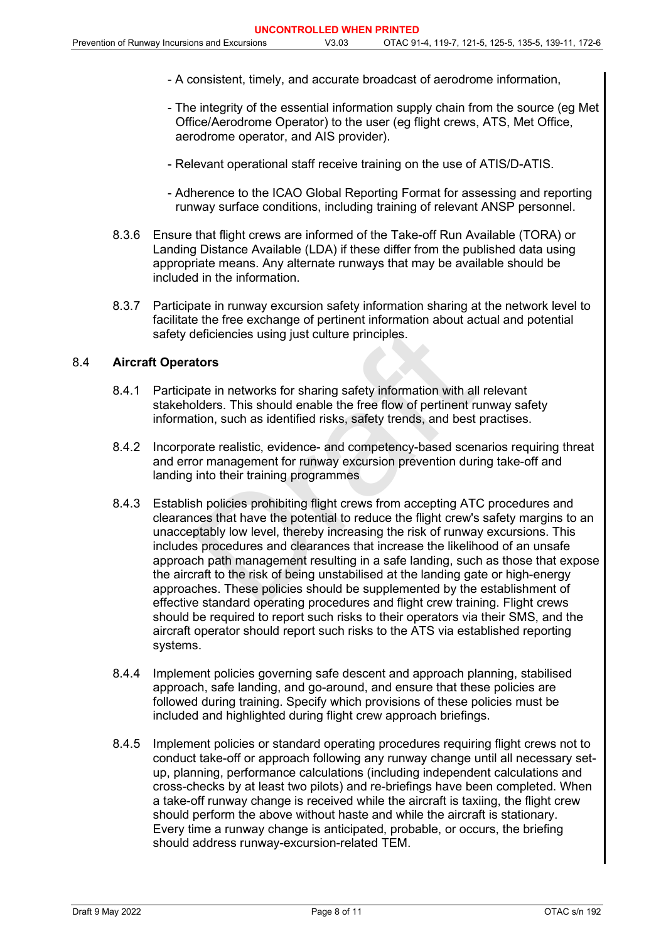- A consistent, timely, and accurate broadcast of aerodrome information,
- The integrity of the essential information supply chain from the source (eg Met Office/Aerodrome Operator) to the user (eg flight crews, ATS, Met Office, aerodrome operator, and AIS provider).
- Relevant operational staff receive training on the use of ATIS/D-ATIS.
- Adherence to the ICAO Global Reporting Format for assessing and reporting runway surface conditions, including training of relevant ANSP personnel.
- 8.3.6 Ensure that flight crews are informed of the Take-off Run Available (TORA) or Landing Distance Available (LDA) if these differ from the published data using appropriate means. Any alternate runways that may be available should be included in the information.
- 8.3.7 Participate in runway excursion safety information sharing at the network level to facilitate the free exchange of pertinent information about actual and potential safety deficiencies using just culture principles.

### 8.4 **Aircraft Operators**

- 8.4.1 Participate in networks for sharing safety information with all relevant stakeholders. This should enable the free flow of pertinent runway safety information, such as identified risks, safety trends, and best practises.
- 8.4.2 Incorporate realistic, evidence- and competency-based scenarios requiring threat and error management for runway excursion prevention during take-off and landing into their training programmes
- deficiencies using just culture principles.<br>
Ators<br>
ate in networks for sharing safety information with all<br>
blders. This should enable the free flow of pertinent rition, such as identified risks, safety trends, and best<br> 8.4.3 Establish policies prohibiting flight crews from accepting ATC procedures and clearances that have the potential to reduce the flight crew's safety margins to an unacceptably low level, thereby increasing the risk of runway excursions. This includes procedures and clearances that increase the likelihood of an unsafe approach path management resulting in a safe landing, such as those that expose the aircraft to the risk of being unstabilised at the landing gate or high-energy approaches. These policies should be supplemented by the establishment of effective standard operating procedures and flight crew training. Flight crews should be required to report such risks to their operators via their SMS, and the aircraft operator should report such risks to the ATS via established reporting systems.
- 8.4.4 Implement policies governing safe descent and approach planning, stabilised approach, safe landing, and go-around, and ensure that these policies are followed during training. Specify which provisions of these policies must be included and highlighted during flight crew approach briefings.
- 8.4.5 Implement policies or standard operating procedures requiring flight crews not to conduct take-off or approach following any runway change until all necessary setup, planning, performance calculations (including independent calculations and cross-checks by at least two pilots) and re-briefings have been completed. When a take-off runway change is received while the aircraft is taxiing, the flight crew should perform the above without haste and while the aircraft is stationary. Every time a runway change is anticipated, probable, or occurs, the briefing should address runway-excursion-related TEM.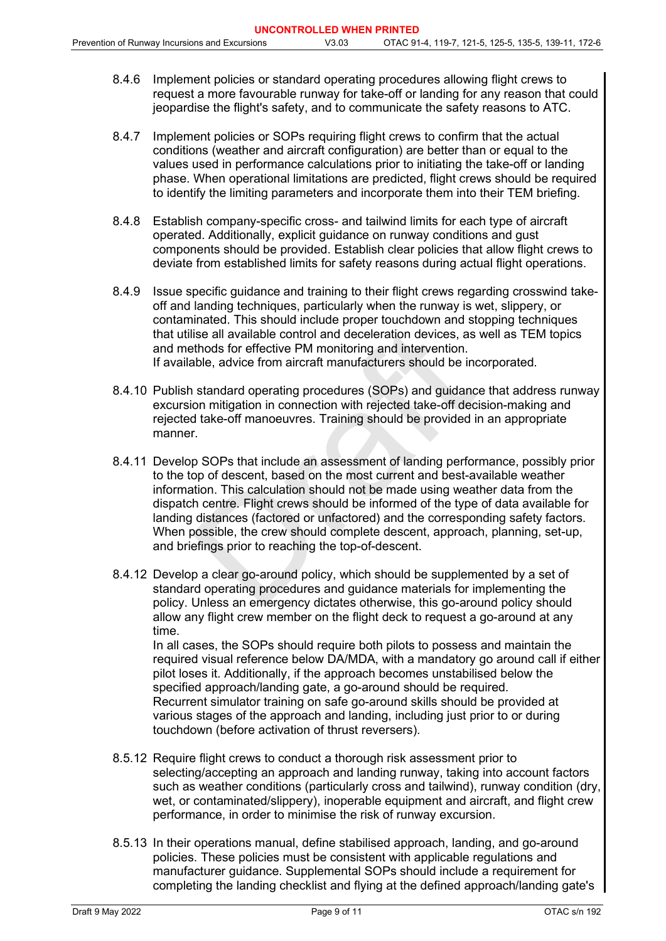- 8.4.6 Implement policies or standard operating procedures allowing flight crews to request a more favourable runway for take-off or landing for any reason that could jeopardise the flight's safety, and to communicate the safety reasons to ATC.
- 8.4.7 Implement policies or SOPs requiring flight crews to confirm that the actual conditions (weather and aircraft configuration) are better than or equal to the values used in performance calculations prior to initiating the take-off or landing phase. When operational limitations are predicted, flight crews should be required to identify the limiting parameters and incorporate them into their TEM briefing.
- 8.4.8 Establish company-specific cross- and tailwind limits for each type of aircraft operated. Additionally, explicit guidance on runway conditions and gust components should be provided. Establish clear policies that allow flight crews to deviate from established limits for safety reasons during actual flight operations.
- 8.4.9 Issue specific guidance and training to their flight crews regarding crosswind takeoff and landing techniques, particularly when the runway is wet, slippery, or contaminated. This should include proper touchdown and stopping techniques that utilise all available control and deceleration devices, as well as TEM topics and methods for effective PM monitoring and intervention. If available, advice from aircraft manufacturers should be incorporated.
- 8.4.10 Publish standard operating procedures (SOPs) and guidance that address runway excursion mitigation in connection with rejected take-off decision-making and rejected take-off manoeuvres. Training should be provided in an appropriate manner.
- lise all available control and deceleration devices, as<br>thods for effective PM monitoring and intervention.<br>able, advice from aircraft manufacturers should be ine<br>able, advice from aircraft manufacturers should be ine<br>on m 8.4.11 Develop SOPs that include an assessment of landing performance, possibly prior to the top of descent, based on the most current and best-available weather information. This calculation should not be made using weather data from the dispatch centre. Flight crews should be informed of the type of data available for landing distances (factored or unfactored) and the corresponding safety factors. When possible, the crew should complete descent, approach, planning, set-up, and briefings prior to reaching the top-of-descent.
- 8.4.12 Develop a clear go-around policy, which should be supplemented by a set of standard operating procedures and guidance materials for implementing the policy. Unless an emergency dictates otherwise, this go-around policy should allow any flight crew member on the flight deck to request a go-around at any time.

In all cases, the SOPs should require both pilots to possess and maintain the required visual reference below DA/MDA, with a mandatory go around call if either pilot loses it. Additionally, if the approach becomes unstabilised below the specified approach/landing gate, a go-around should be required. Recurrent simulator training on safe go-around skills should be provided at various stages of the approach and landing, including just prior to or during touchdown (before activation of thrust reversers).

- 8.5.12 Require flight crews to conduct a thorough risk assessment prior to selecting/accepting an approach and landing runway, taking into account factors such as weather conditions (particularly cross and tailwind), runway condition (dry, wet, or contaminated/slippery), inoperable equipment and aircraft, and flight crew performance, in order to minimise the risk of runway excursion.
- 8.5.13 In their operations manual, define stabilised approach, landing, and go-around policies. These policies must be consistent with applicable regulations and manufacturer guidance. Supplemental SOPs should include a requirement for completing the landing checklist and flying at the defined approach/landing gate's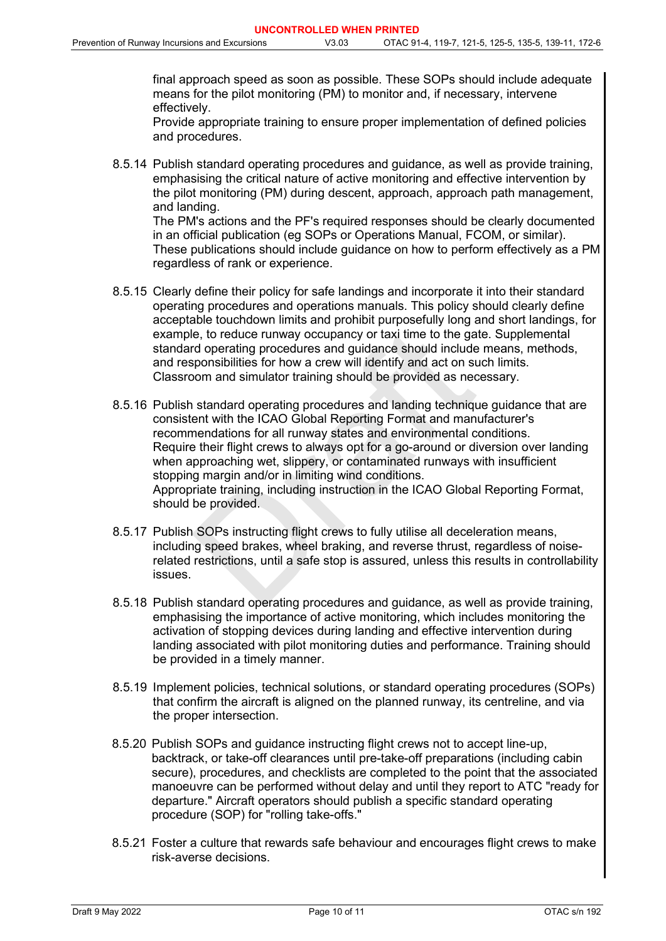final approach speed as soon as possible. These SOPs should include adequate means for the pilot monitoring (PM) to monitor and, if necessary, intervene effectively.

 Provide appropriate training to ensure proper implementation of defined policies and procedures.

8.5.14 Publish standard operating procedures and guidance, as well as provide training, emphasising the critical nature of active monitoring and effective intervention by the pilot monitoring (PM) during descent, approach, approach path management, and landing. The PM's actions and the PF's required responses should be clearly documented in an official publication (eg SOPs or Operations Manual, FCOM, or similar).

These publications should include guidance on how to perform effectively as a PM regardless of rank or experience.

- 8.5.15 Clearly define their policy for safe landings and incorporate it into their standard operating procedures and operations manuals. This policy should clearly define acceptable touchdown limits and prohibit purposefully long and short landings, for example, to reduce runway occupancy or taxi time to the gate. Supplemental standard operating procedures and guidance should include means, methods, and responsibilities for how a crew will identify and act on such limits. Classroom and simulator training should be provided as necessary.
- ie, to reduce runway occupancy or taxi time to the gas doperating procedures and guidance should include<br>ponsibilities for how a crew will identify and act on subseminatives for how a crew will identify and act on subsem a 8.5.16 Publish standard operating procedures and landing technique guidance that are consistent with the ICAO Global Reporting Format and manufacturer's recommendations for all runway states and environmental conditions. Require their flight crews to always opt for a go-around or diversion over landing when approaching wet, slippery, or contaminated runways with insufficient stopping margin and/or in limiting wind conditions. Appropriate training, including instruction in the ICAO Global Reporting Format, should be provided.
- 8.5.17 Publish SOPs instructing flight crews to fully utilise all deceleration means, including speed brakes, wheel braking, and reverse thrust, regardless of noiserelated restrictions, until a safe stop is assured, unless this results in controllability issues.
- 8.5.18 Publish standard operating procedures and guidance, as well as provide training, emphasising the importance of active monitoring, which includes monitoring the activation of stopping devices during landing and effective intervention during landing associated with pilot monitoring duties and performance. Training should be provided in a timely manner.
- 8.5.19 Implement policies, technical solutions, or standard operating procedures (SOPs) that confirm the aircraft is aligned on the planned runway, its centreline, and via the proper intersection.
- 8.5.20 Publish SOPs and guidance instructing flight crews not to accept line-up, backtrack, or take-off clearances until pre-take-off preparations (including cabin secure), procedures, and checklists are completed to the point that the associated manoeuvre can be performed without delay and until they report to ATC "ready for departure." Aircraft operators should publish a specific standard operating procedure (SOP) for "rolling take-offs."
- 8.5.21 Foster a culture that rewards safe behaviour and encourages flight crews to make risk-averse decisions.